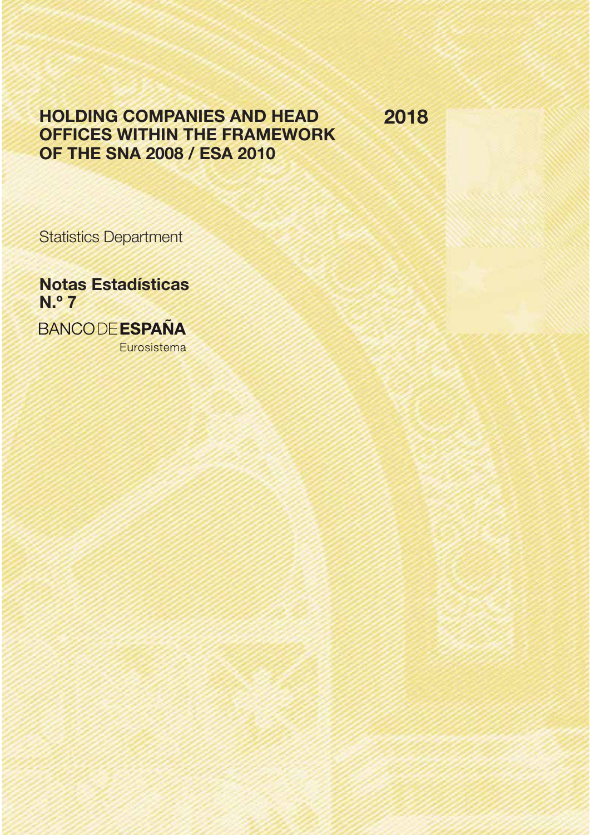# Holding companies and Head offices within the framework of the SNA 2008 / ESA 2010

2018

Statistics Department

Notas Estadísticas N.º 7 **BANCODE ESPAÑA** Eurosistema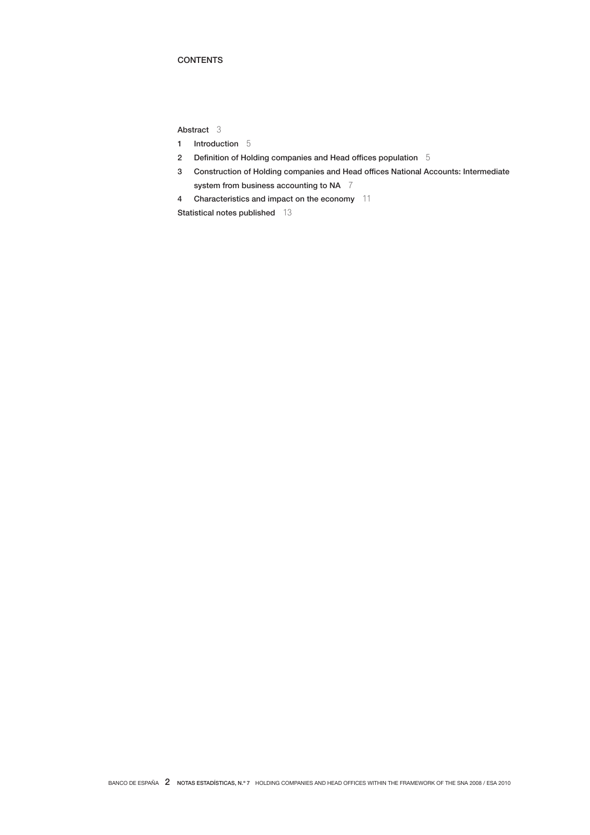## **CONTENTS**

Abstract 3

- 1 Introduction 5
- 2 Definition of Holding companies and Head offices population 5
- 3 Construction of Holding companies and Head offices National Accounts: Intermediate system from business accounting to NA 7
- 4 Characteristics and impact on the economy 11

Statistical notes published 13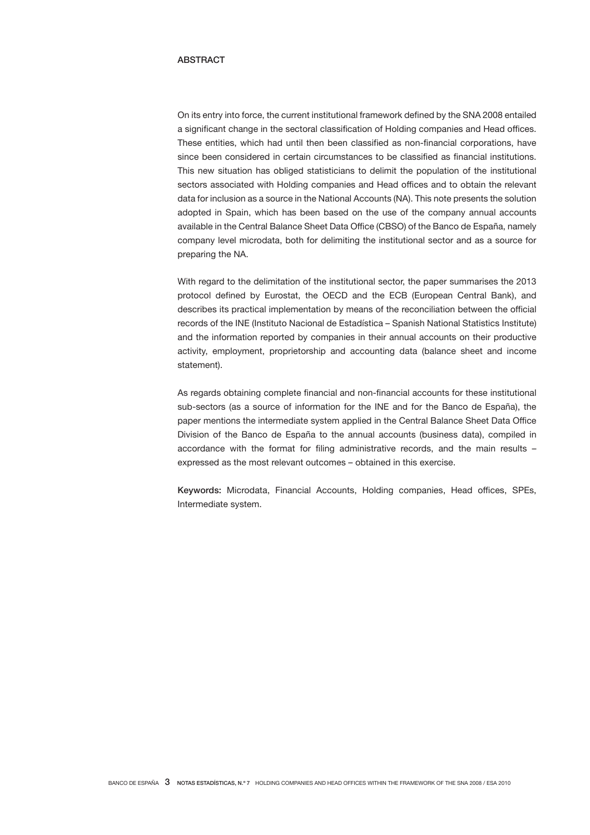### **ABSTRACT**

On its entry into force, the current institutional framework defined by the SNA 2008 entailed a significant change in the sectoral classification of Holding companies and Head offices. These entities, which had until then been classified as non-financial corporations, have since been considered in certain circumstances to be classified as financial institutions. This new situation has obliged statisticians to delimit the population of the institutional sectors associated with Holding companies and Head offices and to obtain the relevant data for inclusion as a source in the National Accounts (NA). This note presents the solution adopted in Spain, which has been based on the use of the company annual accounts available in the Central Balance Sheet Data Office (CBSO) of the Banco de España, namely company level microdata, both for delimiting the institutional sector and as a source for preparing the NA.

With regard to the delimitation of the institutional sector, the paper summarises the 2013 protocol defined by Eurostat, the OECD and the ECB (European Central Bank), and describes its practical implementation by means of the reconciliation between the official records of the INE (Instituto Nacional de Estadística – Spanish National Statistics Institute) and the information reported by companies in their annual accounts on their productive activity, employment, proprietorship and accounting data (balance sheet and income statement).

As regards obtaining complete financial and non-financial accounts for these institutional sub-sectors (as a source of information for the INE and for the Banco de España), the paper mentions the intermediate system applied in the Central Balance Sheet Data Office Division of the Banco de España to the annual accounts (business data), compiled in accordance with the format for filing administrative records, and the main results – expressed as the most relevant outcomes – obtained in this exercise.

Keywords: Microdata, Financial Accounts, Holding companies, Head offices, SPEs, Intermediate system.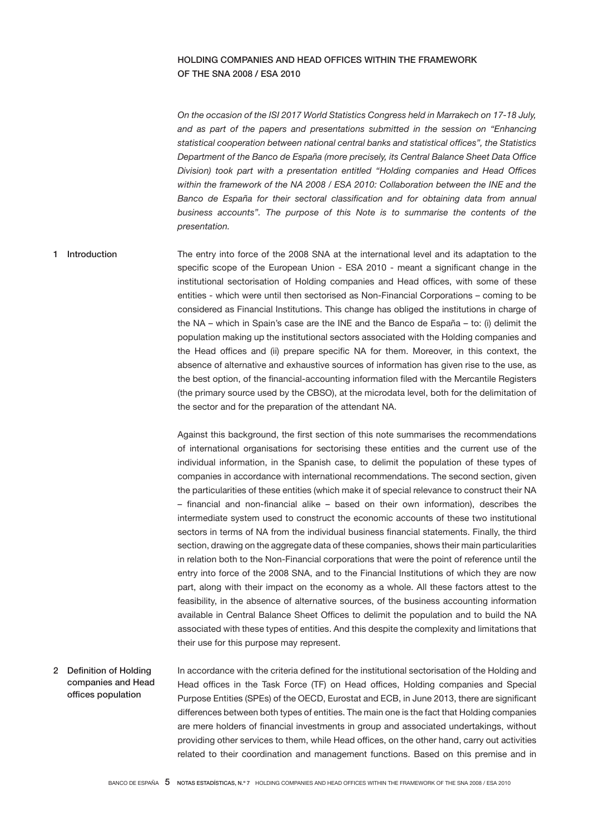## Holding companies and Head offices within the framework of the SNA 2008 / ESA 2010

*On the occasion of the ISI 2017 World Statistics Congress held in Marrakech on 17-18 July,*  and as part of the papers and presentations submitted in the session on "Enhancing *statistical cooperation between national central banks and statistical offices", the Statistics Department of the Banco de España (more precisely, its Central Balance Sheet Data Office Division) took part with a presentation entitled "Holding companies and Head Offices within the framework of the NA 2008 / ESA 2010: Collaboration between the INE and the*  Banco de España for their sectoral classification and for obtaining data from annual *business accounts". The purpose of this Note is to summarise the contents of the presentation.*

The entry into force of the 2008 SNA at the international level and its adaptation to the specific scope of the European Union - ESA 2010 - meant a significant change in the institutional sectorisation of Holding companies and Head offices, with some of these entities - which were until then sectorised as Non-Financial Corporations – coming to be considered as Financial Institutions. This change has obliged the institutions in charge of the NA – which in Spain's case are the INE and the Banco de España – to: (i) delimit the population making up the institutional sectors associated with the Holding companies and the Head offices and (ii) prepare specific NA for them. Moreover, in this context, the absence of alternative and exhaustive sources of information has given rise to the use, as the best option, of the financial-accounting information filed with the Mercantile Registers (the primary source used by the CBSO), at the microdata level, both for the delimitation of the sector and for the preparation of the attendant NA. 1 Introduction

> Against this background, the first section of this note summarises the recommendations of international organisations for sectorising these entities and the current use of the individual information, in the Spanish case, to delimit the population of these types of companies in accordance with international recommendations. The second section, given the particularities of these entities (which make it of special relevance to construct their NA – financial and non-financial alike – based on their own information), describes the intermediate system used to construct the economic accounts of these two institutional sectors in terms of NA from the individual business financial statements. Finally, the third section, drawing on the aggregate data of these companies, shows their main particularities in relation both to the Non-Financial corporations that were the point of reference until the entry into force of the 2008 SNA, and to the Financial Institutions of which they are now part, along with their impact on the economy as a whole. All these factors attest to the feasibility, in the absence of alternative sources, of the business accounting information available in Central Balance Sheet Offices to delimit the population and to build the NA associated with these types of entities. And this despite the complexity and limitations that their use for this purpose may represent.

In accordance with the criteria defined for the institutional sectorisation of the Holding and Head offices in the Task Force (TF) on Head offices, Holding companies and Special Purpose Entities (SPEs) of the OECD, Eurostat and ECB, in June 2013, there are significant differences between both types of entities. The main one is the fact that Holding companies are mere holders of financial investments in group and associated undertakings, without providing other services to them, while Head offices, on the other hand, carry out activities related to their coordination and management functions. Based on this premise and in 2 Definition of Holding companies and Head offices population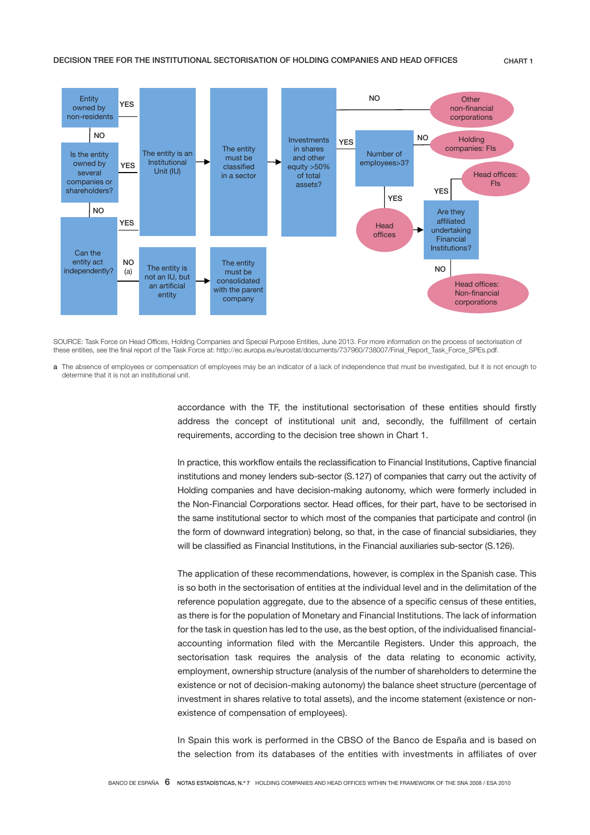

SOURCE: Task Force on Head Offices, Holding Companies and Special Purpose Entities, June 2013. For more information on the process of sectorisation of these entities, see the final report of the Task Force at: http://ec.europa.eu/eurostat/documents/737960/738007/Final\_Report\_Task\_Force\_SPEs.pdf.

a The absence of employees or compensation of employees may be an indicator of a lack of independence that must be investigated, but it is not enough to determine that it is not an institutional unit.

> accordance with the TF, the institutional sectorisation of these entities should firstly address the concept of institutional unit and, secondly, the fulfillment of certain requirements, according to the decision tree shown in Chart 1.

> In practice, this workflow entails the reclassification to Financial Institutions, Captive financial institutions and money lenders sub-sector (S.127) of companies that carry out the activity of Holding companies and have decision-making autonomy, which were formerly included in the Non-Financial Corporations sector. Head offices, for their part, have to be sectorised in the same institutional sector to which most of the companies that participate and control (in the form of downward integration) belong, so that, in the case of financial subsidiaries, they will be classified as Financial Institutions, in the Financial auxiliaries sub-sector (S.126).

> The application of these recommendations, however, is complex in the Spanish case. This is so both in the sectorisation of entities at the individual level and in the delimitation of the reference population aggregate, due to the absence of a specific census of these entities, as there is for the population of Monetary and Financial Institutions. The lack of information for the task in question has led to the use, as the best option, of the individualised financialaccounting information filed with the Mercantile Registers. Under this approach, the sectorisation task requires the analysis of the data relating to economic activity, employment, ownership structure (analysis of the number of shareholders to determine the existence or not of decision-making autonomy) the balance sheet structure (percentage of investment in shares relative to total assets), and the income statement (existence or nonexistence of compensation of employees).

> In Spain this work is performed in the CBSO of the Banco de España and is based on the selection from its databases of the entities with investments in affiliates of over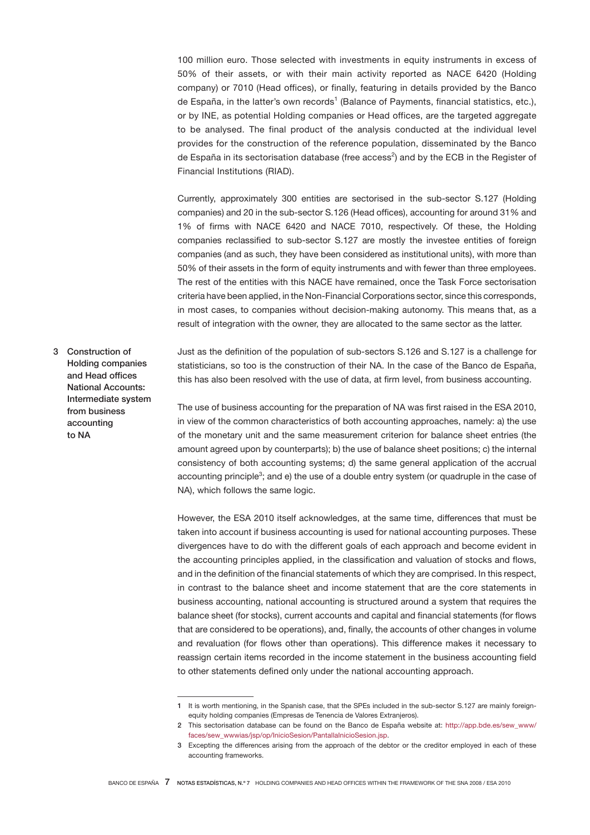100 million euro. Those selected with investments in equity instruments in excess of 50% of their assets, or with their main activity reported as NACE 6420 (Holding company) or 7010 (Head offices), or finally, featuring in details provided by the Banco de España, in the latter's own records<sup>1</sup> (Balance of Payments, financial statistics, etc.), or by INE, as potential Holding companies or Head offices, are the targeted aggregate to be analysed. The final product of the analysis conducted at the individual level provides for the construction of the reference population, disseminated by the Banco de España in its sectorisation database (free access<sup>2</sup>) and by the ECB in the Register of Financial Institutions (RIAD).

Currently, approximately 300 entities are sectorised in the sub-sector S.127 (Holding companies) and 20 in the sub-sector S.126 (Head offices), accounting for around 31% and 1% of firms with NACE 6420 and NACE 7010, respectively. Of these, the Holding companies reclassified to sub-sector S.127 are mostly the investee entities of foreign companies (and as such, they have been considered as institutional units), with more than 50% of their assets in the form of equity instruments and with fewer than three employees. The rest of the entities with this NACE have remained, once the Task Force sectorisation criteria have been applied, in the Non-Financial Corporations sector, since this corresponds, in most cases, to companies without decision-making autonomy. This means that, as a result of integration with the owner, they are allocated to the same sector as the latter.

3 Construction of Holding companies and Head offices National Accounts: Intermediate system from business accounting to NA

Just as the definition of the population of sub-sectors S.126 and S.127 is a challenge for statisticians, so too is the construction of their NA. In the case of the Banco de España, this has also been resolved with the use of data, at firm level, from business accounting.

The use of business accounting for the preparation of NA was first raised in the ESA 2010, in view of the common characteristics of both accounting approaches, namely: a) the use of the monetary unit and the same measurement criterion for balance sheet entries (the amount agreed upon by counterparts); b) the use of balance sheet positions; c) the internal consistency of both accounting systems; d) the same general application of the accrual accounting principle<sup>3</sup>; and e) the use of a double entry system (or quadruple in the case of NA), which follows the same logic.

However, the ESA 2010 itself acknowledges, at the same time, differences that must be taken into account if business accounting is used for national accounting purposes. These divergences have to do with the different goals of each approach and become evident in the accounting principles applied, in the classification and valuation of stocks and flows, and in the definition of the financial statements of which they are comprised. In this respect, in contrast to the balance sheet and income statement that are the core statements in business accounting, national accounting is structured around a system that requires the balance sheet (for stocks), current accounts and capital and financial statements (for flows that are considered to be operations), and, finally, the accounts of other changes in volume and revaluation (for flows other than operations). This difference makes it necessary to reassign certain items recorded in the income statement in the business accounting field to other statements defined only under the national accounting approach.

<sup>1</sup> It is worth mentioning, in the Spanish case, that the SPEs included in the sub-sector S.127 are mainly foreignequity holding companies (Empresas de Tenencia de Valores Extranjeros).

<sup>2</sup> This sectorisation database can be found on the Banco de España website at: [http://app.bde.es/sew\\_www/](http://app.bde.es/sew_www/faces/sew_wwwias/jsp/op/InicioSesion/PantallaInicioSesion.jsp) [faces/sew\\_wwwias/jsp/op/InicioSesion/PantallaInicioSesion.jsp.](http://app.bde.es/sew_www/faces/sew_wwwias/jsp/op/InicioSesion/PantallaInicioSesion.jsp)

<sup>3</sup> Excepting the differences arising from the approach of the debtor or the creditor employed in each of these accounting frameworks.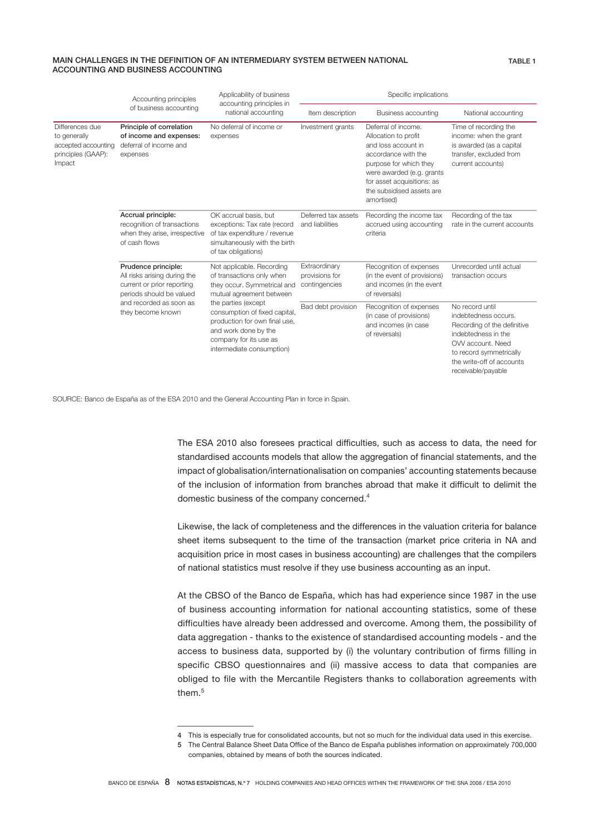#### MAIN CHALLENGES IN THE DEFINITION OF AN INTERMEDIARY SYSTEM BETWEEN NATIONAL ACCOUNTING AND BUSINESS ACCOUNTING

|                                                                                        | Accounting principles                                                                                                                                                                                                | Applicability of business<br>accounting principles in                                                                                         |                                                  | Specific implications                                                                                                                                                                                                     |                                                                                                                                                                                                  |  |  |
|----------------------------------------------------------------------------------------|----------------------------------------------------------------------------------------------------------------------------------------------------------------------------------------------------------------------|-----------------------------------------------------------------------------------------------------------------------------------------------|--------------------------------------------------|---------------------------------------------------------------------------------------------------------------------------------------------------------------------------------------------------------------------------|--------------------------------------------------------------------------------------------------------------------------------------------------------------------------------------------------|--|--|
|                                                                                        | of business accounting                                                                                                                                                                                               | national accounting                                                                                                                           | Item description                                 | Business accounting                                                                                                                                                                                                       | National accounting                                                                                                                                                                              |  |  |
| Differences due<br>to generally<br>accepted accounting<br>principles (GAAP):<br>Impact | Principle of correlation<br>of income and expenses:<br>deferral of income and<br>expenses                                                                                                                            | No deferral of income or<br>Investment grants<br>expenses                                                                                     |                                                  | Deferral of income.<br>Allocation to profit<br>and loss account in<br>accordance with the<br>purpose for which they<br>were awarded (e.g. grants<br>for asset acquisitions: as<br>the subsidised assets are<br>amortised) | Time of recording the<br>income: when the grant<br>is awarded (as a capital<br>transfer, excluded from<br>current accounts)                                                                      |  |  |
|                                                                                        | Accrual principle:<br>recognition of transactions<br>when they arise, irrespective<br>of cash flows                                                                                                                  | OK accrual basis, but<br>exceptions: Tax rate (record<br>of tax expenditure / revenue<br>simultaneously with the birth<br>of tax obligations) | Deferred tax assets<br>and liabilities           | Recording the income tax<br>accrued using accounting<br>criteria                                                                                                                                                          | Recording of the tax<br>rate in the current accounts                                                                                                                                             |  |  |
|                                                                                        | Prudence principle:<br>All risks arising during the<br>current or prior reporting<br>periods should be valued                                                                                                        | Not applicable. Recording<br>of transactions only when<br>they occur. Symmetrical and<br>mutual agreement between                             | Extraordinary<br>provisions for<br>contingencies | Recognition of expenses<br>(in the event of provisions)<br>and incomes (in the event<br>of reversals)                                                                                                                     | Unrecorded until actual<br>transaction occurs                                                                                                                                                    |  |  |
|                                                                                        | and recorded as soon as<br>the parties (except<br>they become known<br>consumption of fixed capital,<br>production for own final use,<br>and work done by the<br>company for its use as<br>intermediate consumption) |                                                                                                                                               | Bad debt provision                               | Recognition of expenses<br>(in case of provisions)<br>and incomes (in case<br>of reversals)                                                                                                                               | No record until<br>indebtedness occurs.<br>Recording of the definitive<br>indebtedness in the<br>OVV account. Need<br>to record symmetrically<br>the write-off of accounts<br>receivable/payable |  |  |

SOURCE: Banco de España as of the ESA 2010 and the General Accounting Plan in force in Spain.

The ESA 2010 also foresees practical difficulties, such as access to data, the need for standardised accounts models that allow the aggregation of financial statements, and the impact of globalisation/internationalisation on companies' accounting statements because of the inclusion of information from branches abroad that make it difficult to delimit the domestic business of the company concerned.<sup>4</sup>

Likewise, the lack of completeness and the differences in the valuation criteria for balance sheet items subsequent to the time of the transaction (market price criteria in NA and acquisition price in most cases in business accounting) are challenges that the compilers of national statistics must resolve if they use business accounting as an input.

At the CBSO of the Banco de España, which has had experience since 1987 in the use of business accounting information for national accounting statistics, some of these difficulties have already been addressed and overcome. Among them, the possibility of data aggregation - thanks to the existence of standardised accounting models - and the access to business data, supported by (i) the voluntary contribution of firms filling in specific CBSO questionnaires and (ii) massive access to data that companies are obliged to file with the Mercantile Registers thanks to collaboration agreements with them.<sup>5</sup>

<sup>4</sup> This is especially true for consolidated accounts, but not so much for the individual data used in this exercise.

<sup>5</sup> The Central Balance Sheet Data Office of the Banco de España publishes information on approximately 700,000 companies, obtained by means of both the sources indicated.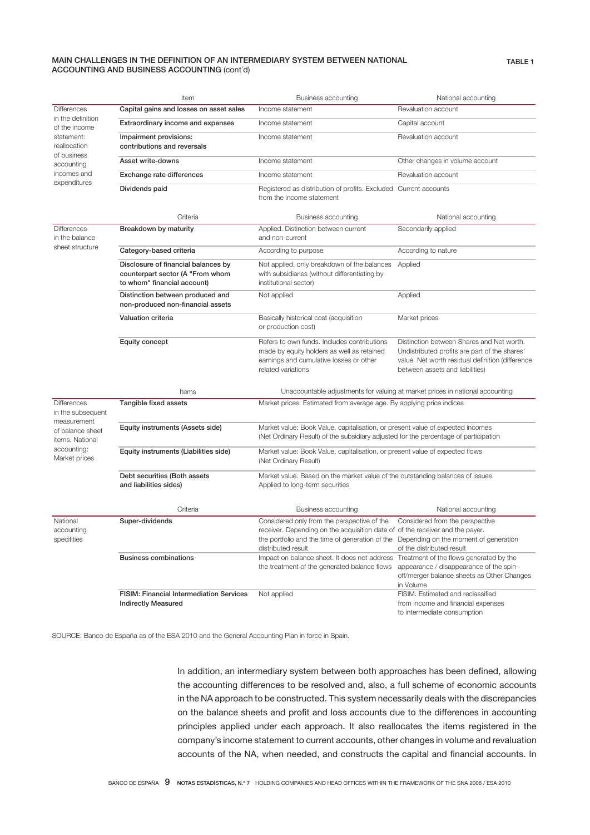#### MAIN CHALLENGES IN THE DEFINITION OF AN INTERMEDIARY SYSTEM BETWEEN NATIONAL ACCOUNTING AND BUSINESS ACCOUNTING (cont´d)

|                                                                                                                                                    | Item                                                                                                   | Business accounting                                                                                                                                                                                                                         | National accounting                                                                                                                                                               |  |  |  |  |
|----------------------------------------------------------------------------------------------------------------------------------------------------|--------------------------------------------------------------------------------------------------------|---------------------------------------------------------------------------------------------------------------------------------------------------------------------------------------------------------------------------------------------|-----------------------------------------------------------------------------------------------------------------------------------------------------------------------------------|--|--|--|--|
| <b>Differences</b><br>in the definition<br>of the income<br>statement:<br>reallocation<br>of business<br>accounting<br>incomes and<br>expenditures | Capital gains and losses on asset sales                                                                | Income statement                                                                                                                                                                                                                            | Revaluation account                                                                                                                                                               |  |  |  |  |
|                                                                                                                                                    | Extraordinary income and expenses                                                                      | Income statement                                                                                                                                                                                                                            | Capital account                                                                                                                                                                   |  |  |  |  |
|                                                                                                                                                    | Impairment provisions:<br>contributions and reversals                                                  | Income statement                                                                                                                                                                                                                            | Revaluation account                                                                                                                                                               |  |  |  |  |
|                                                                                                                                                    | Asset write-downs                                                                                      | Income statement                                                                                                                                                                                                                            | Other changes in volume account                                                                                                                                                   |  |  |  |  |
|                                                                                                                                                    | Exchange rate differences                                                                              | Income statement                                                                                                                                                                                                                            | Revaluation account                                                                                                                                                               |  |  |  |  |
|                                                                                                                                                    | Dividends paid                                                                                         | Registered as distribution of profits. Excluded Current accounts<br>from the income statement                                                                                                                                               |                                                                                                                                                                                   |  |  |  |  |
|                                                                                                                                                    | Criteria                                                                                               | Business accounting                                                                                                                                                                                                                         | National accounting                                                                                                                                                               |  |  |  |  |
| <b>Differences</b><br>in the balance                                                                                                               | Breakdown by maturity                                                                                  | Applied. Distinction between current<br>and non-current                                                                                                                                                                                     | Secondarily applied                                                                                                                                                               |  |  |  |  |
| sheet structure                                                                                                                                    | Category-based criteria                                                                                | According to purpose                                                                                                                                                                                                                        | According to nature                                                                                                                                                               |  |  |  |  |
|                                                                                                                                                    | Disclosure of financial balances by<br>counterpart sector (A "From whom<br>to whom" financial account) | Not applied, only breakdown of the balances<br>with subsidiaries (without differentiating by<br>institutional sector)                                                                                                                       | Applied                                                                                                                                                                           |  |  |  |  |
|                                                                                                                                                    | Distinction between produced and<br>non-produced non-financial assets                                  | Not applied                                                                                                                                                                                                                                 | Applied                                                                                                                                                                           |  |  |  |  |
|                                                                                                                                                    | Valuation criteria                                                                                     | Basically historical cost (acquisition<br>or production cost)                                                                                                                                                                               | Market prices                                                                                                                                                                     |  |  |  |  |
|                                                                                                                                                    | Equity concept                                                                                         | Refers to own funds. Includes contributions<br>made by equity holders as well as retained<br>earnings and cumulative losses or other<br>related variations                                                                                  | Distinction between Shares and Net worth.<br>Undistributed profits are part of the shares'<br>value. Net worth residual definition (difference<br>between assets and liabilities) |  |  |  |  |
|                                                                                                                                                    | Items                                                                                                  |                                                                                                                                                                                                                                             | Unaccountable adjustments for valuing at market prices in national accounting                                                                                                     |  |  |  |  |
| <b>Differences</b><br>in the subsequent<br>measurement<br>of balance sheet<br>items. National<br>accounting:<br>Market prices                      | Tangible fixed assets                                                                                  | Market prices. Estimated from average age. By applying price indices                                                                                                                                                                        |                                                                                                                                                                                   |  |  |  |  |
|                                                                                                                                                    | Equity instruments (Assets side)                                                                       | Market value: Book Value, capitalisation, or present value of expected incomes<br>(Net Ordinary Result) of the subsidiary adjusted for the percentage of participation                                                                      |                                                                                                                                                                                   |  |  |  |  |
|                                                                                                                                                    | Equity instruments (Liabilities side)                                                                  | Market value: Book Value, capitalisation, or present value of expected flows<br>(Net Ordinary Result)                                                                                                                                       |                                                                                                                                                                                   |  |  |  |  |
|                                                                                                                                                    | Debt securities (Both assets<br>and liabilities sides)                                                 | Market value. Based on the market value of the outstanding balances of issues.<br>Applied to long-term securities                                                                                                                           |                                                                                                                                                                                   |  |  |  |  |
|                                                                                                                                                    | Criteria                                                                                               | Business accounting                                                                                                                                                                                                                         | National accounting                                                                                                                                                               |  |  |  |  |
| National<br>accounting<br>specifities                                                                                                              | Super-dividends                                                                                        | Considered only from the perspective of the<br>receiver. Depending on the acquisition date of of the receiver and the payer.<br>the portfolio and the time of generation of the Depending on the moment of generation<br>distributed result | Considered from the perspective<br>of the distributed result                                                                                                                      |  |  |  |  |
|                                                                                                                                                    | <b>Business combinations</b>                                                                           | Impact on balance sheet. It does not address Treatment of the flows generated by the<br>the treatment of the generated balance flows                                                                                                        | appearance / disappearance of the spin-<br>off/merger balance sheets as Other Changes<br>in Volume                                                                                |  |  |  |  |
|                                                                                                                                                    | FISIM: Financial Intermediation Services<br><b>Indirectly Measured</b>                                 | Not applied                                                                                                                                                                                                                                 | FISIM. Estimated and reclassified<br>from income and financial expenses<br>to intermediate consumption                                                                            |  |  |  |  |

SOURCE: Banco de España as of the ESA 2010 and the General Accounting Plan in force in Spain.

In addition, an intermediary system between both approaches has been defined, allowing the accounting differences to be resolved and, also, a full scheme of economic accounts in the NA approach to be constructed. This system necessarily deals with the discrepancies on the balance sheets and profit and loss accounts due to the differences in accounting principles applied under each approach. It also reallocates the items registered in the company's income statement to current accounts, other changes in volume and revaluation accounts of the NA, when needed, and constructs the capital and financial accounts. In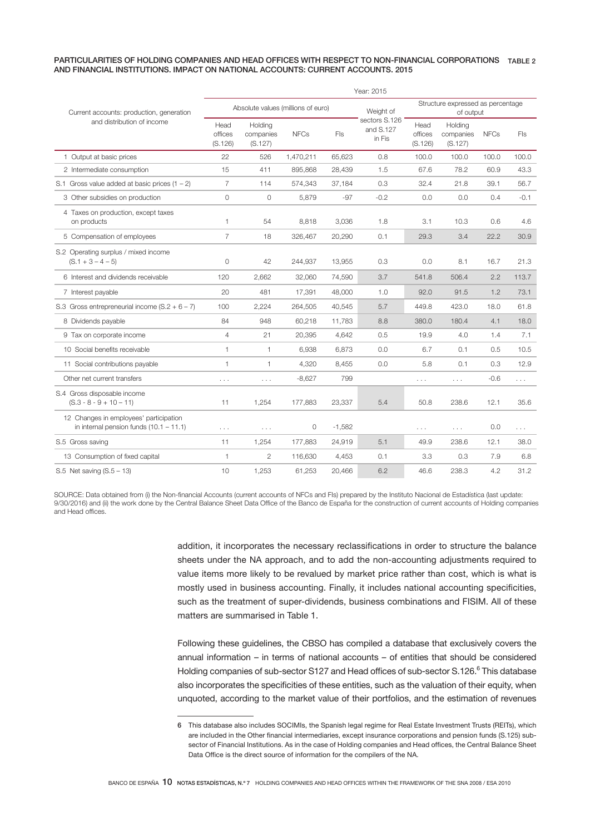#### PARTICULARITIES OF HOLDING COMPANIES AND HEAD OFFICES WITH RESPECT TO NON-FINANCIAL CORPORATIONS TABLE 2 AND FINANCIAL INSTITUTIONS. IMPACT ON NATIONAL ACCOUNTS: CURRENT ACCOUNTS. 2015

|                                                                                     | Year: 2015                         |                                 |             |          |                                      |                                                |                                 |             |            |
|-------------------------------------------------------------------------------------|------------------------------------|---------------------------------|-------------|----------|--------------------------------------|------------------------------------------------|---------------------------------|-------------|------------|
| Current accounts: production, generation                                            | Absolute values (millions of euro) |                                 |             |          | Weight of                            | Structure expressed as percentage<br>of output |                                 |             |            |
| and distribution of income                                                          | Head<br>offices<br>(S.126)         | Holding<br>companies<br>(S.127) | <b>NFCs</b> | Fls      | sectors S.126<br>and S.127<br>in Fis | Head<br>offices<br>(S.126)                     | Holding<br>companies<br>(S.127) | <b>NFCs</b> | <b>FIs</b> |
| 1 Output at basic prices                                                            | 22                                 | 526                             | 1,470,211   | 65.623   | 0.8                                  | 100.0                                          | 100.0                           | 100.0       | 100.0      |
| 2 Intermediate consumption                                                          | 15                                 | 411                             | 895,868     | 28,439   | 1.5                                  | 67.6                                           | 78.2                            | 60.9        | 43.3       |
| S.1 Gross value added at basic prices $(1 - 2)$                                     | 7                                  | 114                             | 574,343     | 37,184   | 0.3                                  | 32.4                                           | 21.8                            | 39.1        | 56.7       |
| 3 Other subsidies on production                                                     | 0                                  | 0                               | 5,879       | $-97$    | $-0.2$                               | 0.0                                            | 0.0                             | 0.4         | $-0.1$     |
| 4 Taxes on production, except taxes<br>on products                                  | 1.                                 | 54                              | 8,818       | 3,036    | 1.8                                  | 3.1                                            | 10.3                            | 0.6         | 4.6        |
| 5 Compensation of employees                                                         | $\overline{7}$                     | 18                              | 326,467     | 20,290   | 0.1                                  | 29.3                                           | 3.4                             | 22.2        | 30.9       |
| S.2 Operating surplus / mixed income<br>$(S.1 + 3 - 4 - 5)$                         | $\Omega$                           | 42                              | 244,937     | 13,955   | 0.3                                  | 0.0                                            | 8.1                             | 16.7        | 21.3       |
| 6 Interest and dividends receivable                                                 | 120                                | 2,662                           | 32,060      | 74,590   | 3.7                                  | 541.8                                          | 506.4                           | 2.2         | 113.7      |
| 7 Interest payable                                                                  | 20                                 | 481                             | 17,391      | 48,000   | 1.0                                  | 92.0                                           | 91.5                            | 1.2         | 73.1       |
| S.3 Gross entrepreneurial income $(S.2 + 6 - 7)$                                    | 100                                | 2,224                           | 264,505     | 40,545   | 5.7                                  | 449.8                                          | 423.0                           | 18.0        | 61.8       |
| 8 Dividends payable                                                                 | 84                                 | 948                             | 60,218      | 11,783   | 8.8                                  | 380.0                                          | 180.4                           | 4.1         | 18.0       |
| 9 Tax on corporate income                                                           | $\overline{4}$                     | 21                              | 20,395      | 4,642    | 0.5                                  | 19.9                                           | 4.0                             | 1.4         | 7.1        |
| 10 Social benefits receivable                                                       | $\mathbf{1}$                       | 1                               | 6,938       | 6,873    | 0.0                                  | 6.7                                            | 0.1                             | 0.5         | 10.5       |
| 11 Social contributions payable                                                     | 1                                  | 1                               | 4,320       | 8,455    | 0.0                                  | 5.8                                            | 0.1                             | 0.3         | 12.9       |
| Other net current transfers                                                         | $\sim$ $\sim$ $\sim$               | $\cdots$                        | $-8,627$    | 799      |                                      | $\sim$ $\sim$ $\sim$                           | $\cdots$                        | -0.6        | .          |
| S.4 Gross disposable income<br>$(S.3 - 8 - 9 + 10 - 11)$                            | 11                                 | 1,254                           | 177,883     | 23,337   | 5.4                                  | 50.8                                           | 238.6                           | 12.1        | 35.6       |
| 12 Changes in employees' participation<br>in internal pension funds $(10.1 - 11.1)$ | $\cdots$                           | $\sim$ $\sim$ $\sim$            | 0           | $-1,582$ |                                      | $\sim$ $\sim$                                  | .                               | 0.0         | .          |
| S.5 Gross saving                                                                    | 11                                 | 1,254                           | 177,883     | 24,919   | 5.1                                  | 49.9                                           | 238.6                           | 12.1        | 38.0       |
| 13 Consumption of fixed capital                                                     | $\mathbf{1}$                       | 2                               | 116,630     | 4,453    | 0.1                                  | 3.3                                            | 0.3                             | 7.9         | 6.8        |
| S.5 Net saving $(S.5 - 13)$                                                         | 10                                 | 1.253                           | 61,253      | 20.466   | 6.2                                  | 46.6                                           | 238.3                           | 4.2         | 31.2       |

SOURCE: Data obtained from (i) the Non-financial Accounts (current accounts of NFCs and FIs) prepared by the Instituto Nacional de Estadística (last update: 9/30/2016) and (ii) the work done by the Central Balance Sheet Data Office of the Banco de España for the construction of current accounts of Holding companies and Head offices.

> addition, it incorporates the necessary reclassifications in order to structure the balance sheets under the NA approach, and to add the non-accounting adjustments required to value items more likely to be revalued by market price rather than cost, which is what is mostly used in business accounting. Finally, it includes national accounting specificities, such as the treatment of super-dividends, business combinations and FISIM. All of these matters are summarised in Table 1.

> Following these guidelines, the CBSO has compiled a database that exclusively covers the annual information – in terms of national accounts – of entities that should be considered Holding companies of sub-sector S127 and Head offices of sub-sector S.126.<sup>6</sup> This database also incorporates the specificities of these entities, such as the valuation of their equity, when unquoted, according to the market value of their portfolios, and the estimation of revenues

<sup>6</sup> This database also includes SOCIMIs, the Spanish legal regime for Real Estate Investment Trusts (REITs), which are included in the Other financial intermediaries, except insurance corporations and pension funds (S.125) subsector of Financial Institutions. As in the case of Holding companies and Head offices, the Central Balance Sheet Data Office is the direct source of information for the compilers of the NA.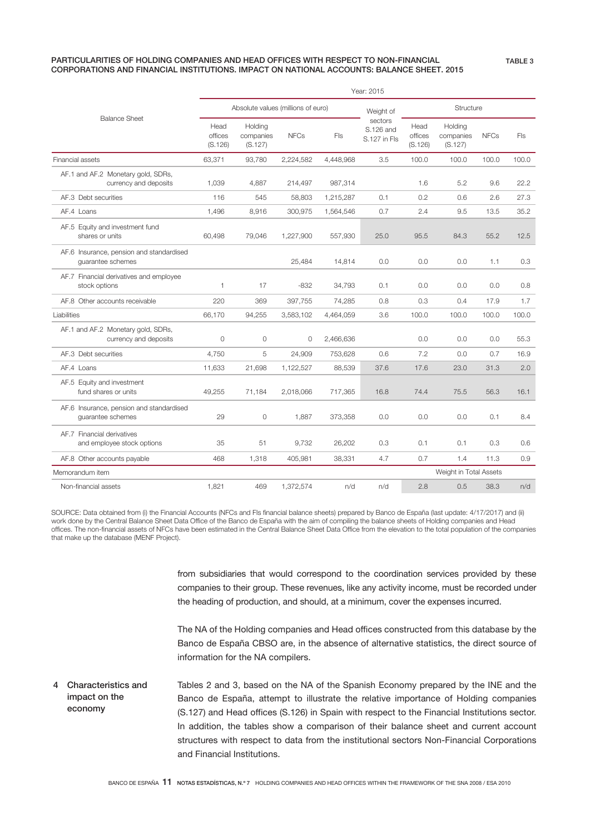#### PARTICULARITIES OF HOLDING COMPANIES AND HEAD OFFICES WITH RESPECT TO NON-FINANCIAL CORPORATIONS AND FINANCIAL INSTITUTIONS. IMPACT ON NATIONAL ACCOUNTS: BALANCE SHEET. 2015

|                                                               |                                    | Year: 2015                      |             |            |                                      |                            |                                 |             |       |  |
|---------------------------------------------------------------|------------------------------------|---------------------------------|-------------|------------|--------------------------------------|----------------------------|---------------------------------|-------------|-------|--|
|                                                               | Absolute values (millions of euro) |                                 |             |            | Weight of                            | Structure                  |                                 |             |       |  |
| <b>Balance Sheet</b>                                          | Head<br>offices<br>(S.126)         | Holding<br>companies<br>(S.127) | <b>NFCs</b> | <b>FIs</b> | sectors<br>S.126 and<br>S.127 in Fls | Head<br>offices<br>(S.126) | Holding<br>companies<br>(S.127) | <b>NFCs</b> | Fls   |  |
| Financial assets                                              | 63,371                             | 93,780                          | 2,224,582   | 4,448,968  | 3.5                                  | 100.0                      | 100.0                           | 100.0       | 100.0 |  |
| AF.1 and AF.2 Monetary gold, SDRs,<br>currency and deposits   | 1,039                              | 4,887                           | 214,497     | 987,314    |                                      | 1.6                        | 5.2                             | 9.6         | 22.2  |  |
| AF.3 Debt securities                                          | 116                                | 545                             | 58,803      | 1,215,287  | 0.1                                  | 0.2                        | 0.6                             | 2.6         | 27.3  |  |
| AF.4 Loans                                                    | 1,496                              | 8,916                           | 300,975     | 1,564,546  | 0.7                                  | 2.4                        | 9.5                             | 13.5        | 35.2  |  |
| AF.5 Equity and investment fund<br>shares or units            | 60,498                             | 79,046                          | 1,227,900   | 557,930    | 25.0                                 | 95.5                       | 84.3                            | 55.2        | 12.5  |  |
| AF.6 Insurance, pension and standardised<br>quarantee schemes |                                    |                                 | 25,484      | 14,814     | 0.0                                  | 0.0                        | 0.0                             | 1.1         | 0.3   |  |
| AF.7 Financial derivatives and employee<br>stock options      | 1                                  | 17                              | $-832$      | 34,793     | 0.1                                  | 0.0                        | 0.0                             | 0.0         | 0.8   |  |
| AF.8 Other accounts receivable                                | 220                                | 369                             | 397,755     | 74,285     | 0.8                                  | 0.3                        | 0.4                             | 17.9        | 1.7   |  |
| Liabilities                                                   | 66,170                             | 94,255                          | 3,583,102   | 4,464,059  | 3.6                                  | 100.0                      | 100.0                           | 100.0       | 100.0 |  |
| AF.1 and AF.2 Monetary gold, SDRs,<br>currency and deposits   | $\circ$                            | 0                               | 0           | 2,466,636  |                                      | 0.0                        | 0.0                             | 0.0         | 55.3  |  |
| AF.3 Debt securities                                          | 4,750                              | 5                               | 24,909      | 753,628    | 0.6                                  | 7.2                        | 0.0                             | 0.7         | 16.9  |  |
| AF.4 Loans                                                    | 11,633                             | 21,698                          | 1,122,527   | 88,539     | 37.6                                 | 17.6                       | 23.0                            | 31.3        | 2.0   |  |
| AF.5 Equity and investment<br>fund shares or units            | 49,255                             | 71,184                          | 2,018,066   | 717,365    | 16.8                                 | 74.4                       | 75.5                            | 56.3        | 16.1  |  |
| AF.6 Insurance, pension and standardised<br>quarantee schemes | 29                                 | 0                               | 1,887       | 373,358    | 0.0                                  | 0.0                        | 0.0                             | 0.1         | 8.4   |  |
| AF.7 Financial derivatives<br>and employee stock options      | 35                                 | 51                              | 9,732       | 26,202     | 0.3                                  | 0.1                        | 0.1                             | 0.3         | 0.6   |  |
| AF.8 Other accounts payable                                   | 468                                | 1,318                           | 405,981     | 38,331     | 4.7                                  | 0.7                        | 1.4                             | 11.3        | 0.9   |  |
| Memorandum item                                               |                                    |                                 |             |            |                                      |                            | Weight in Total Assets          |             |       |  |
| Non-financial assets                                          | 1,821                              | 469                             | 1,372,574   | n/d        | n/d                                  | 2.8                        | 0.5                             | 38.3        | n/d   |  |

SOURCE: Data obtained from (i) the Financial Accounts (NFCs and FIs financial balance sheets) prepared by Banco de España (last update: 4/17/2017) and (ii) work done by the Central Balance Sheet Data Office of the Banco de España with the aim of compiling the balance sheets of Holding companies and Head offices. The non-financial assets of NFCs have been estimated in the Central Balance Sheet Data Office from the elevation to the total population of the companies that make up the database (MENF Project).

> from subsidiaries that would correspond to the coordination services provided by these companies to their group. These revenues, like any activity income, must be recorded under the heading of production, and should, at a minimum, cover the expenses incurred.

> The NA of the Holding companies and Head offices constructed from this database by the Banco de España CBSO are, in the absence of alternative statistics, the direct source of information for the NA compilers.

Tables 2 and 3, based on the NA of the Spanish Economy prepared by the INE and the Banco de España, attempt to illustrate the relative importance of Holding companies (S.127) and Head offices (S.126) in Spain with respect to the Financial Institutions sector. In addition, the tables show a comparison of their balance sheet and current account structures with respect to data from the institutional sectors Non-Financial Corporations and Financial Institutions. 4 Characteristics and impact on the economy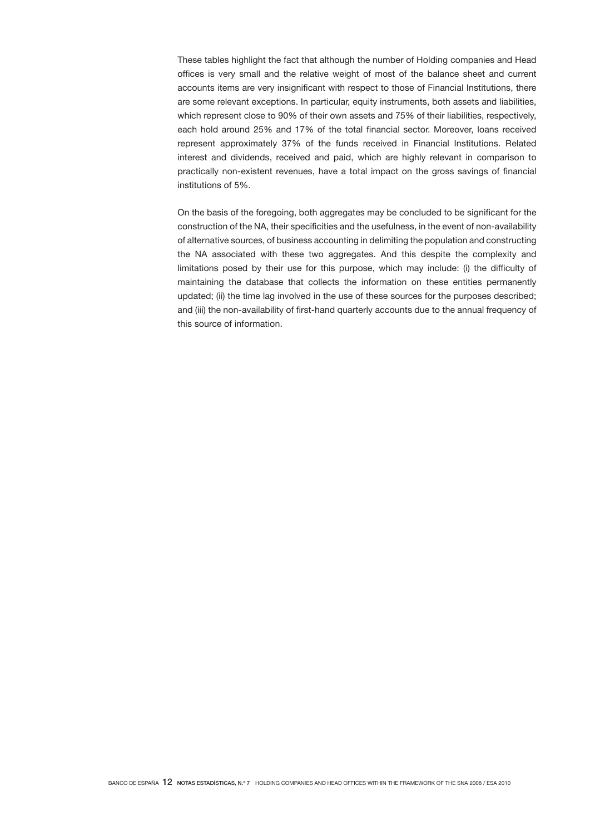These tables highlight the fact that although the number of Holding companies and Head offices is very small and the relative weight of most of the balance sheet and current accounts items are very insignificant with respect to those of Financial Institutions, there are some relevant exceptions. In particular, equity instruments, both assets and liabilities, which represent close to 90% of their own assets and 75% of their liabilities, respectively, each hold around 25% and 17% of the total financial sector. Moreover, loans received represent approximately 37% of the funds received in Financial Institutions. Related interest and dividends, received and paid, which are highly relevant in comparison to practically non-existent revenues, have a total impact on the gross savings of financial institutions of 5%.

On the basis of the foregoing, both aggregates may be concluded to be significant for the construction of the NA, their specificities and the usefulness, in the event of non-availability of alternative sources, of business accounting in delimiting the population and constructing the NA associated with these two aggregates. And this despite the complexity and limitations posed by their use for this purpose, which may include: (i) the difficulty of maintaining the database that collects the information on these entities permanently updated; (ii) the time lag involved in the use of these sources for the purposes described; and (iii) the non-availability of first-hand quarterly accounts due to the annual frequency of this source of information.